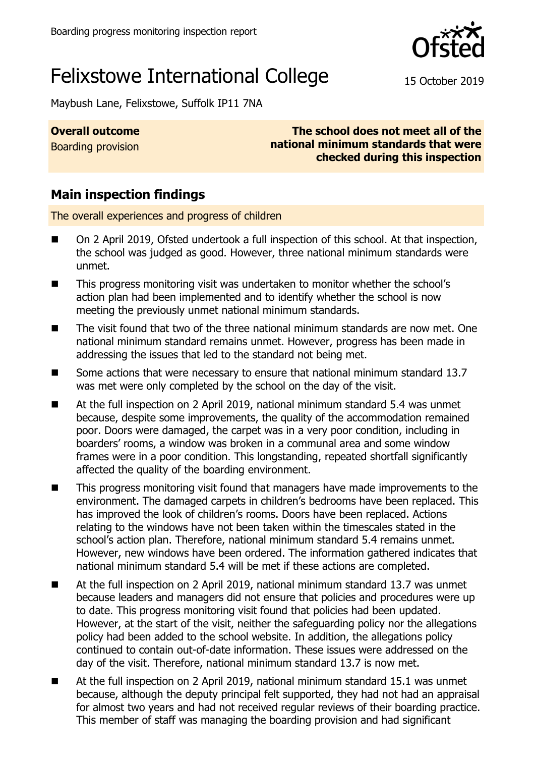

# Felixstowe International College 15 October 2019

Maybush Lane, Felixstowe, Suffolk IP11 7NA

**Overall outcome**

Boarding provision

**The school does not meet all of the national minimum standards that were checked during this inspection**

## **Main inspection findings**

The overall experiences and progress of children

- On 2 April 2019, Ofsted undertook a full inspection of this school. At that inspection, the school was judged as good. However, three national minimum standards were unmet.
- This progress monitoring visit was undertaken to monitor whether the school's action plan had been implemented and to identify whether the school is now meeting the previously unmet national minimum standards.
- The visit found that two of the three national minimum standards are now met. One national minimum standard remains unmet. However, progress has been made in addressing the issues that led to the standard not being met.
- Some actions that were necessary to ensure that national minimum standard 13.7 was met were only completed by the school on the day of the visit.
- At the full inspection on 2 April 2019, national minimum standard 5.4 was unmet because, despite some improvements, the quality of the accommodation remained poor. Doors were damaged, the carpet was in a very poor condition, including in boarders' rooms, a window was broken in a communal area and some window frames were in a poor condition. This longstanding, repeated shortfall significantly affected the quality of the boarding environment.
- This progress monitoring visit found that managers have made improvements to the environment. The damaged carpets in children's bedrooms have been replaced. This has improved the look of children's rooms. Doors have been replaced. Actions relating to the windows have not been taken within the timescales stated in the school's action plan. Therefore, national minimum standard 5.4 remains unmet. However, new windows have been ordered. The information gathered indicates that national minimum standard 5.4 will be met if these actions are completed.
- At the full inspection on 2 April 2019, national minimum standard 13.7 was unmet because leaders and managers did not ensure that policies and procedures were up to date. This progress monitoring visit found that policies had been updated. However, at the start of the visit, neither the safeguarding policy nor the allegations policy had been added to the school website. In addition, the allegations policy continued to contain out-of-date information. These issues were addressed on the day of the visit. Therefore, national minimum standard 13.7 is now met.
- At the full inspection on 2 April 2019, national minimum standard 15.1 was unmet because, although the deputy principal felt supported, they had not had an appraisal for almost two years and had not received regular reviews of their boarding practice. This member of staff was managing the boarding provision and had significant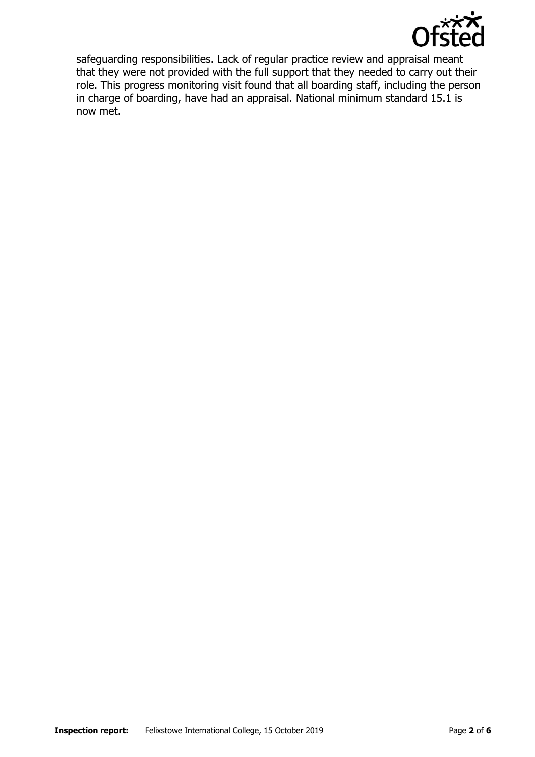

safeguarding responsibilities. Lack of regular practice review and appraisal meant that they were not provided with the full support that they needed to carry out their role. This progress monitoring visit found that all boarding staff, including the person in charge of boarding, have had an appraisal. National minimum standard 15.1 is now met.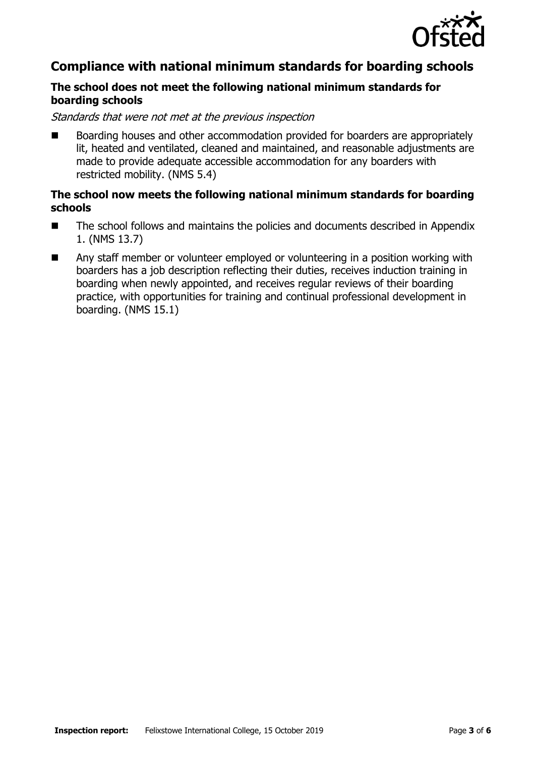

### **Compliance with national minimum standards for boarding schools**

### **The school does not meet the following national minimum standards for boarding schools**

Standards that were not met at the previous inspection

 Boarding houses and other accommodation provided for boarders are appropriately lit, heated and ventilated, cleaned and maintained, and reasonable adjustments are made to provide adequate accessible accommodation for any boarders with restricted mobility. (NMS 5.4)

#### **The school now meets the following national minimum standards for boarding schools**

- The school follows and maintains the policies and documents described in Appendix 1. (NMS 13.7)
- Any staff member or volunteer employed or volunteering in a position working with boarders has a job description reflecting their duties, receives induction training in boarding when newly appointed, and receives regular reviews of their boarding practice, with opportunities for training and continual professional development in boarding. (NMS 15.1)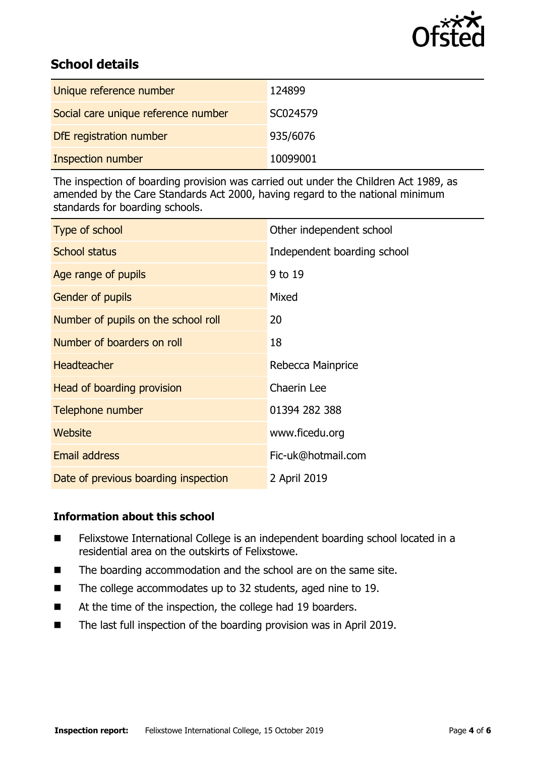

## **School details**

| Unique reference number             | 124899   |
|-------------------------------------|----------|
| Social care unique reference number | SC024579 |
| DfE registration number             | 935/6076 |
| <b>Inspection number</b>            | 10099001 |

The inspection of boarding provision was carried out under the Children Act 1989, as amended by the Care Standards Act 2000, having regard to the national minimum standards for boarding schools.

| Type of school                       | Other independent school    |
|--------------------------------------|-----------------------------|
| <b>School status</b>                 | Independent boarding school |
| Age range of pupils                  | 9 to 19                     |
| <b>Gender of pupils</b>              | Mixed                       |
| Number of pupils on the school roll  | 20                          |
| Number of boarders on roll           | 18                          |
| <b>Headteacher</b>                   | Rebecca Mainprice           |
| Head of boarding provision           | Chaerin Lee                 |
| Telephone number                     | 01394 282 388               |
| Website                              | www.ficedu.org              |
| <b>Email address</b>                 | Fic-uk@hotmail.com          |
| Date of previous boarding inspection | 2 April 2019                |

#### **Information about this school**

- Felixstowe International College is an independent boarding school located in a residential area on the outskirts of Felixstowe.
- The boarding accommodation and the school are on the same site.
- The college accommodates up to 32 students, aged nine to 19.
- At the time of the inspection, the college had 19 boarders.
- The last full inspection of the boarding provision was in April 2019.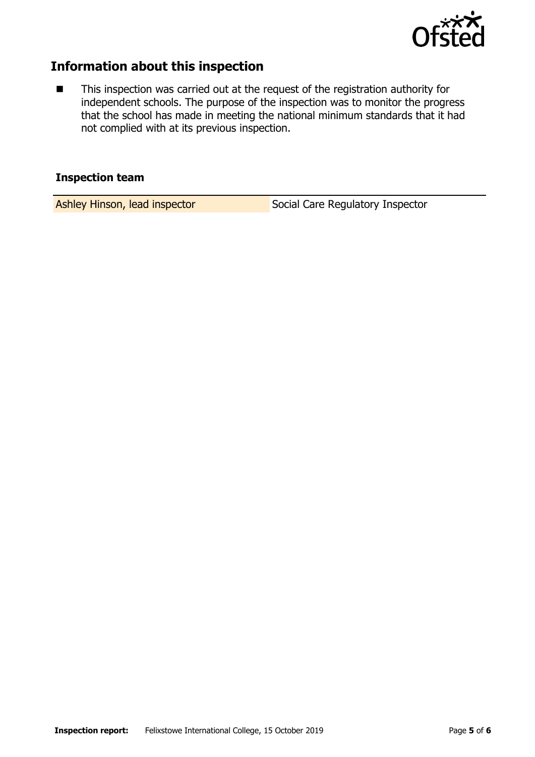

### **Information about this inspection**

■ This inspection was carried out at the request of the registration authority for independent schools. The purpose of the inspection was to monitor the progress that the school has made in meeting the national minimum standards that it had not complied with at its previous inspection.

#### **Inspection team**

Ashley Hinson, lead inspector Social Care Regulatory Inspector